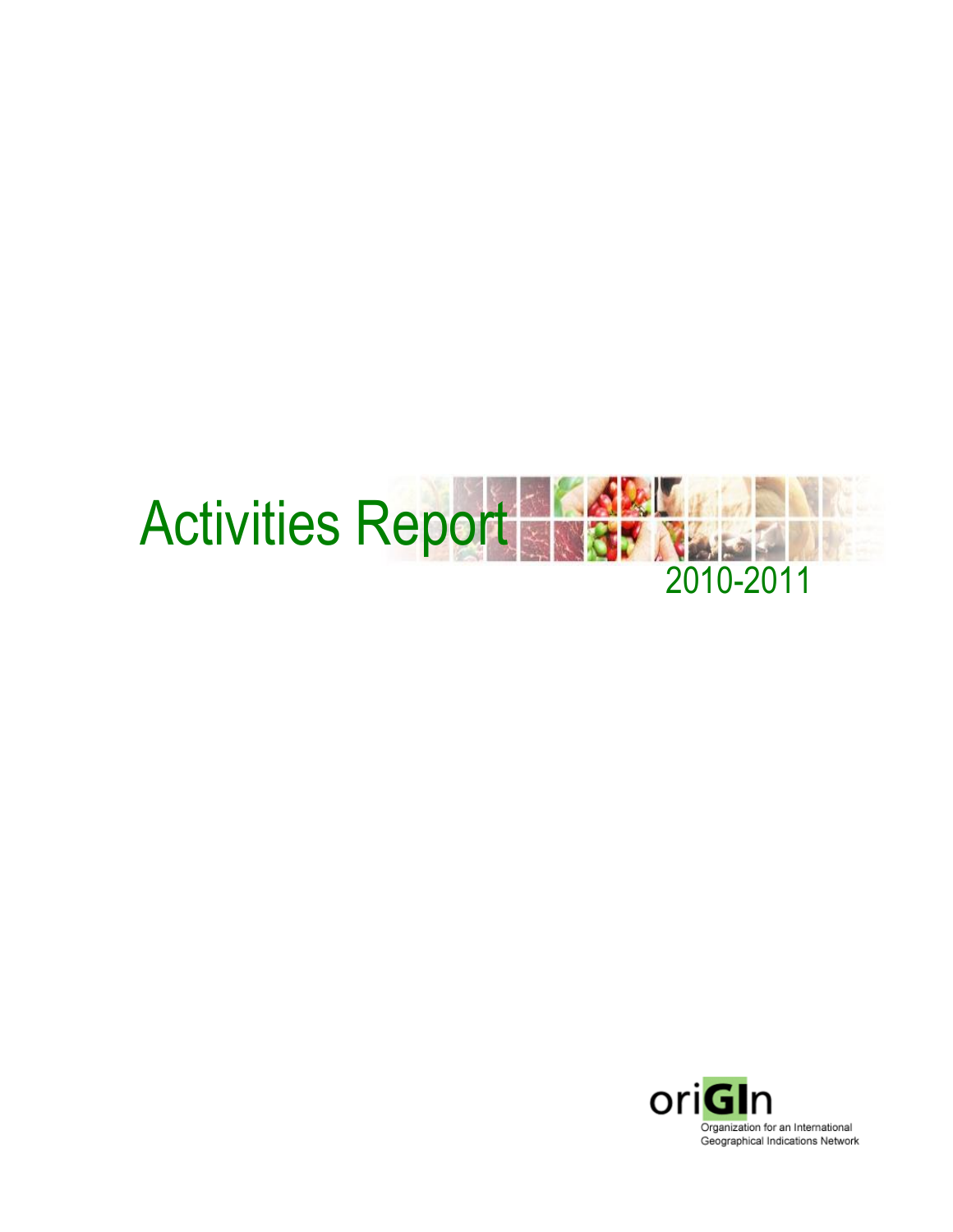

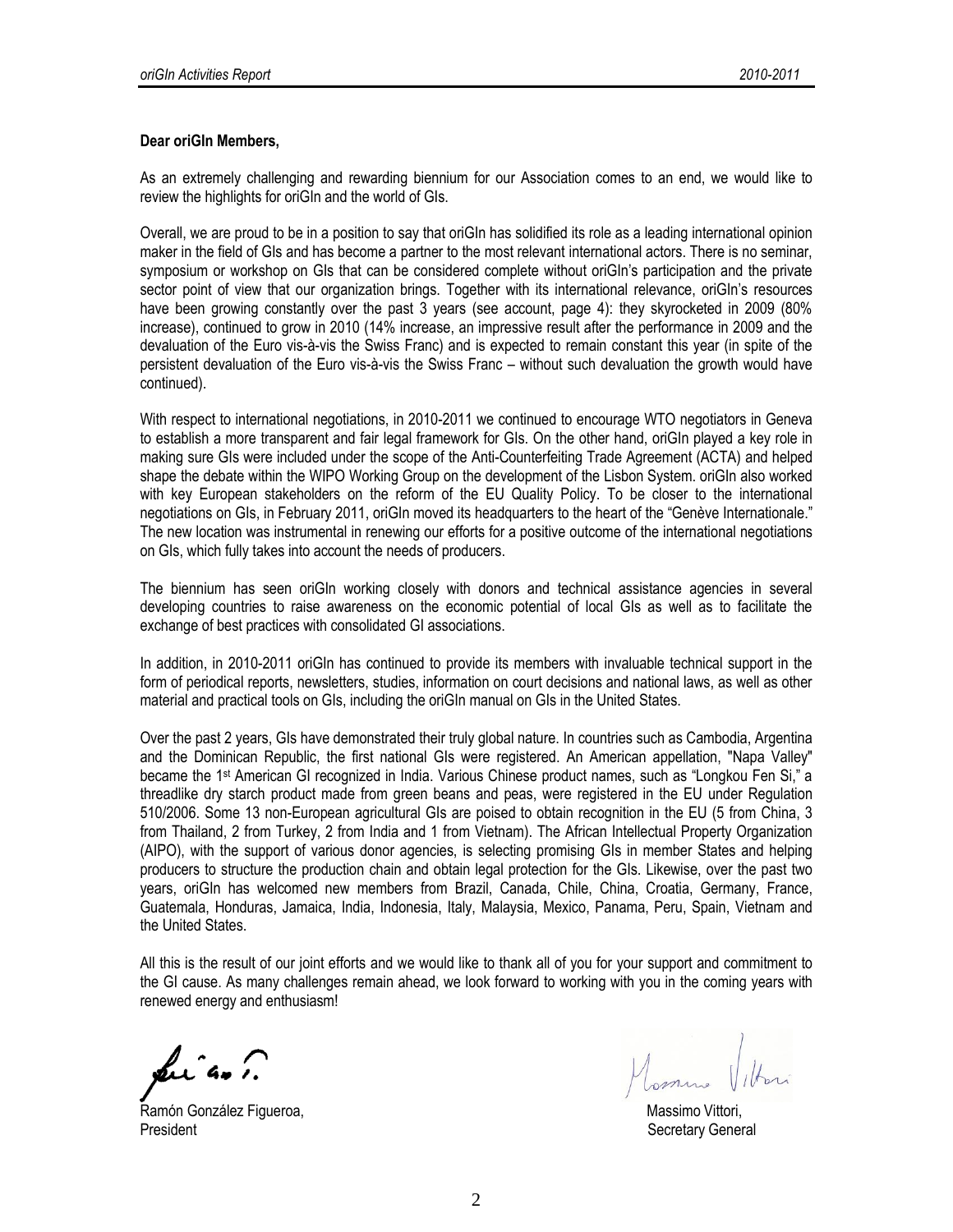#### **Dear oriGIn Members,**

As an extremely challenging and rewarding biennium for our Association comes to an end, we would like to review the highlights for oriGIn and the world of GIs.

Overall, we are proud to be in a position to say that oriGIn has solidified its role as a leading international opinion maker in the field of GIs and has become a partner to the most relevant international actors. There is no seminar, symposium or workshop on GIs that can be considered complete without oriGIn's participation and the private sector point of view that our organization brings. Together with its international relevance, oriGIn's resources have been growing constantly over the past 3 years (see account, page 4): they skyrocketed in 2009 (80% increase), continued to grow in 2010 (14% increase, an impressive result after the performance in 2009 and the devaluation of the Euro vis-à-vis the Swiss Franc) and is expected to remain constant this year (in spite of the persistent devaluation of the Euro vis-à-vis the Swiss Franc – without such devaluation the growth would have continued).

With respect to international negotiations, in 2010-2011 we continued to encourage WTO negotiators in Geneva to establish a more transparent and fair legal framework for GIs. On the other hand, oriGIn played a key role in making sure GIs were included under the scope of the Anti-Counterfeiting Trade Agreement (ACTA) and helped shape the debate within the WIPO Working Group on the development of the Lisbon System. oriGIn also worked with key European stakeholders on the reform of the EU Quality Policy. To be closer to the international negotiations on GIs, in February 2011, oriGIn moved its headquarters to the heart of the "Genève Internationale." The new location was instrumental in renewing our efforts for a positive outcome of the international negotiations on GIs, which fully takes into account the needs of producers.

The biennium has seen oriGIn working closely with donors and technical assistance agencies in several developing countries to raise awareness on the economic potential of local GIs as well as to facilitate the exchange of best practices with consolidated GI associations.

In addition, in 2010-2011 oriGIn has continued to provide its members with invaluable technical support in the form of periodical reports, newsletters, studies, information on court decisions and national laws, as well as other material and practical tools on GIs, including the oriGIn manual on GIs in the United States.

Over the past 2 years, GIs have demonstrated their truly global nature. In countries such as Cambodia, Argentina and the Dominican Republic, the first national GIs were registered. An American appellation, "Napa Valley" became the 1st American GI recognized in India. Various Chinese product names, such as "Longkou Fen Si," a threadlike dry starch product made from green beans and peas, were registered in the EU under Regulation 510/2006. Some 13 non-European agricultural GIs are poised to obtain recognition in the EU (5 from China, 3 from Thailand, 2 from Turkey, 2 from India and 1 from Vietnam). The African Intellectual Property Organization (AIPO), with the support of various donor agencies, is selecting promising GIs in member States and helping producers to structure the production chain and obtain legal protection for the GIs. Likewise, over the past two years, oriGIn has welcomed new members from Brazil, Canada, Chile, China, Croatia, Germany, France, Guatemala, Honduras, Jamaica, India, Indonesia, Italy, Malaysia, Mexico, Panama, Peru, Spain, Vietnam and the United States.

All this is the result of our joint efforts and we would like to thank all of you for your support and commitment to the GI cause. As many challenges remain ahead, we look forward to working with you in the coming years with renewed energy and enthusiasm!

Luían.

Ramón González Figueroa, National estadounidense en la constructional de Massimo Vittori, President Secretary General According to the Secretary General According to the Secretary General According to the Secretary General According to the Secretary General According to the Secretary General According to the Se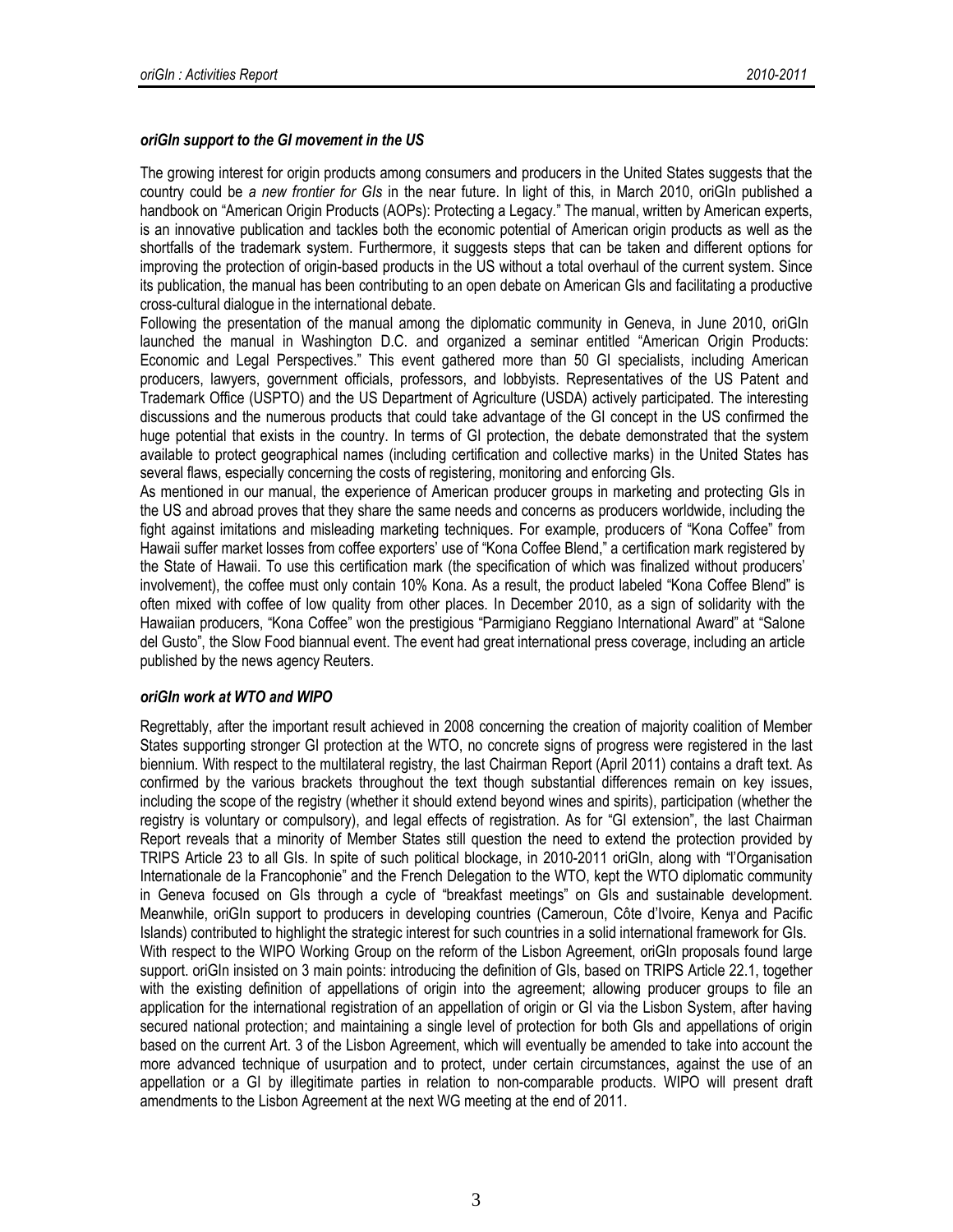# *oriGIn support to the GI movement in the US*

The growing interest for origin products among consumers and producers in the United States suggests that the country could be *a new frontier for GIs* in the near future. In light of this, in March 2010, oriGIn published a handbook on "American Origin Products (AOPs): Protecting a Legacy*.*" The manual, written by American experts, is an innovative publication and tackles both the economic potential of American origin products as well as the shortfalls of the trademark system. Furthermore, it suggests steps that can be taken and different options for improving the protection of origin-based products in the US without a total overhaul of the current system. Since its publication, the manual has been contributing to an open debate on American GIs and facilitating a productive cross-cultural dialogue in the international debate.

Following the presentation of the manual among the diplomatic community in Geneva, in June 2010, oriGIn launched the manual in Washington D.C. and organized a seminar entitled "American Origin Products: Economic and Legal Perspectives." This event gathered more than 50 GI specialists, including American producers, lawyers, government officials, professors, and lobbyists. Representatives of the US Patent and Trademark Office (USPTO) and the US Department of Agriculture (USDA) actively participated. The interesting discussions and the numerous products that could take advantage of the GI concept in the US confirmed the huge potential that exists in the country. In terms of GI protection, the debate demonstrated that the system available to protect geographical names (including certification and collective marks) in the United States has several flaws, especially concerning the costs of registering, monitoring and enforcing GIs.

As mentioned in our manual, the experience of American producer groups in marketing and protecting GIs in the US and abroad proves that they share the same needs and concerns as producers worldwide, including the fight against imitations and misleading marketing techniques. For example, producers of "Kona Coffee" from Hawaii suffer market losses from coffee exporters' use of "Kona Coffee Blend," a certification mark registered by the State of Hawaii. To use this certification mark (the specification of which was finalized without producers' involvement), the coffee must only contain 10% Kona. As a result, the product labeled "Kona Coffee Blend" is often mixed with coffee of low quality from other places. In December 2010, as a sign of solidarity with the Hawaiian producers, "Kona Coffee" won the prestigious "Parmigiano Reggiano International Award" at "Salone del Gusto", the Slow Food biannual event. The event had great international press coverage, including an article published by the news agency Reuters.

# *oriGIn work at WTO and WIPO*

Regrettably, after the important result achieved in 2008 concerning the creation of majority coalition of Member States supporting stronger GI protection at the WTO, no concrete signs of progress were registered in the last biennium. With respect to the multilateral registry, the last Chairman Report (April 2011) contains a draft text. As confirmed by the various brackets throughout the text though substantial differences remain on key issues, including the scope of the registry (whether it should extend beyond wines and spirits), participation (whether the registry is voluntary or compulsory), and legal effects of registration. As for "GI extension", the last Chairman Report reveals that a minority of Member States still question the need to extend the protection provided by TRIPS Article 23 to all GIs. In spite of such political blockage, in 2010-2011 oriGIn, along with "l'Organisation Internationale de la Francophonie" and the French Delegation to the WTO, kept the WTO diplomatic community in Geneva focused on GIs through a cycle of "breakfast meetings" on GIs and sustainable development. Meanwhile, oriGIn support to producers in developing countries (Cameroun, Côte d'Ivoire, Kenya and Pacific Islands) contributed to highlight the strategic interest for such countries in a solid international framework for GIs. With respect to the WIPO Working Group on the reform of the Lisbon Agreement, oriGIn proposals found large support. oriGIn insisted on 3 main points: introducing the definition of GIs, based on TRIPS Article 22.1, together with the existing definition of appellations of origin into the agreement; allowing producer groups to file an application for the international registration of an appellation of origin or GI via the Lisbon System, after having secured national protection; and maintaining a single level of protection for both GIs and appellations of origin based on the current Art. 3 of the Lisbon Agreement, which will eventually be amended to take into account the more advanced technique of usurpation and to protect, under certain circumstances, against the use of an appellation or a GI by illegitimate parties in relation to non-comparable products. WIPO will present draft amendments to the Lisbon Agreement at the next WG meeting at the end of 2011.